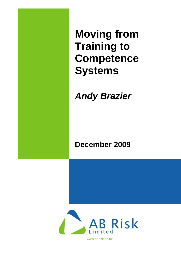**Moving from Training to Competence Systems**

*Andy Brazier*

**December 2009**

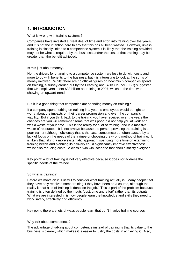## 1. INTRODUCTION

## What is wrong with training systems?

Companies have invested a great deal of time and effort into training over the years, and it is not the intention here to say that this has all been wasted. However, unless training is closely linked to a competence system it is likely that the training provided may not be what is required by the business and/or the cost of that training may be greater than the benefit achieved.

## Is this just about money?

No, the drivers for changing to a competence system are less to do with costs and more to do with benefits to the business, but it is interesting to look at the sums of money involved. Whilst there are no official figures on how much companies spend on training, a survey carried out by the Learning and Skills Council (LSC) suggested that UK employers spent £38 billion on training in 2007, which at the time was showing an upward trend.

But it is a good thing that companies are spending money on training?

If a company spent nothing on training in a year its employees would be right to worry about the impacts on their career progression and even the company's viability. But if you think back to the training you have received over the years the chances are you will remember some that was poor, did not help you at work and was a waste of your time. This is the reality for a lot of training, and is a massive waste of resources. It is not always because the person providing the training is a poor trainer (although obviously that is the case sometimes) but often caused by a lack of focus on the needs of the trainee or choosing the wrong method of training. It is likely that taking a more systematic approach, spending more time on examining training needs and planning its delivery could significantly improve effectiveness whilst also reducing costs. A classic 'win win' scenario that should satisfy everyone.

Key point: a lot of training is not very effective because it does not address the specific needs of the trainee

## So what is training?

Before we move on it is useful to consider what training actually is. Many people feel they have only received some training if they have been on a course, although the reality is that a lot of training is done 'on the job.' This is part of the problem because training is often defined by the inputs (cost, time and effort) rather than its outputs. What we are interested in is how people learn the knowledge and skills they need to work safely, effectively and efficiently.

Key point: there are lots of ways people learn that don't involve training courses

## Why talk about competence?

The advantage of talking about competence instead of training is that its value to the business is clearer, which makes it is easier to justify the costs in achieving it. Also,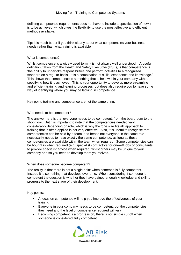defining competence requirements does not have to include a specification of how it is to be achieved, which gives the flexibility to use the most effective and efficient methods available.

Tip: it is much better if you think clearly about what competencies your business needs rather than what training is available

#### What is competence?

Whilst competence is a widely used term, it is not always well understood. A useful definition, taken from the Health and Safety Executive (HSE), is that competence is 'the ability to undertake responsibilities and perform activities to a recognised standard on a regular basis. It is a combination of skills, experience and knowledge.' This shows that competence is something that is held within your company without specifying how it is achieved. This is your opportunity to develop more streamline and efficient training and learning processes, but does also require you to have some way of identifying where you may be lacking in competence.

Key point: training and competence are not the same thing.

## Who needs to be competent?

The answer here is that everyone needs to be competent, from the boardroom to the shop floor. But it is important to note that the competencies needed vary considerably depending on role, which is why the 'one size fits all' approach to training that is often applied is not very effective. Also, it is useful to recognise that competencies can be held by a team, and hence not everyone in the same role necessarily needs to have exactly the same competence, as long as those competencies are available within the team when required. Some competencies can be bought in when required (e.g. specialist contractors for one-off jobs or consultants to provide specialist advice when required) whilst others may be unique to your company and so you need to develop them yourselves.

## When does someone become competent?

The reality is that there is not a single point when someone is fully competent. Instead it is something that develops over time. When considering if someone is competent the question is whether they have gained enough knowledge and skill to progress to the next stage of their development.

Key points:

- A focus on competence will help you improve the effectiveness of your  $\bullet$ training
- $\bullet$ Everyone in your company needs to be competent, but the competencies they need and the level of competence required will vary
- $\bullet$ Becoming competent is a progression, there is not simple cut off when someone is considered 'fully competent'

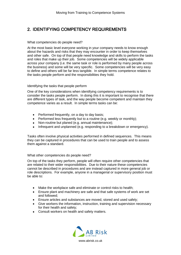## 2. IDENTIFYING COMPETENCY REQUIREMENTS

## What competencies do people need?

At the most basic level everyone working in your company needs to know enough about the hazards and risks that they may encounter in order to keep themselves and other safe. On top of that people need knowledge and skills to perform the tasks and roles that make up their job. Some competencies will be widely applicable across your company (i.e. the same task or role is performed by many people across the business) and some will be very specific. Some competencies will be very easy to define and others will be far less tangible. In simple terms competence relates to the tasks people perform and the responsibilities they hold.

## Identifying the tasks that people perform

One of the key considerations when identifying competency requirements is to consider the tasks people perform. In doing this it is important to recognise that there are different types of task, and the way people become competent and maintain they competence varies as a result. In simple terms tasks can be:

- Performed frequently, on a day to day basis;
- Performed less frequently but to a routine (e.g. weekly or monthly);
- Non-routine but planed (e.g. annual maintenance);
- $\bullet$ Infrequent and unplanned (e.g. responding to a breakdown or emergency).

Tasks often involve physical activities performed in defined sequences. This means they can be captured in procedures that can be used to train people and to assess them against a standard.

## What other competencies do people need?

On top of the tasks they perform, people will often require other competencies that are related to their wider responsibilities. Due to their nature these competencies cannot be described in procedures and are instead captured in more general job or role descriptions. For example, anyone in a managerial or supervisory position must be able to:

- Make the workplace safe and eliminate or control risks to health;  $\bullet$
- Ensure plant and machinery are safe and that safe systems of work are set  $\bullet$ and followed;
- Ensure articles and substances are moved, stored and used safely;
- Give workers the information, instruction, training and supervision necessary for their health and safety;
- Consult workers on health and safety matters.

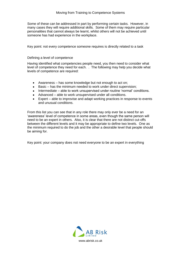Some of these can be addressed in part by performing certain tasks. However, in many cases they will require additional skills. Some of them may require particular personalities that cannot always be learnt, whilst others will not be achieved until someone has had experience in the workplace.

Key point: not every competence someone requires is directly related to a task

## Defining a level of competence

Having identified what competencies people need, you then need to consider what level of competence they need for each. . The following may help you decide what levels of competence are required:

- Awareness has some knowledge but not enough to act on;
- Basic has the minimum needed to work under direct supervision;
- Intermediate able to work unsupervised under routine 'normal' conditions.
- Advanced able to work unsupervised under all conditions.
- Expert able to improvise and adapt working practices in response to events and unusual conditions.

From this list you can see that in any role there may only ever be a need for an 'awareness' level of competence in some areas, even though the same person will need to be an expert in others. Also, it is clear that there are not distinct cut-offs between the different levels and it may be appropriate to define two levels. One as the minimum required to do the job and the other a desirable level that people should be aiming for.

Key point: your company does not need everyone to be an expert in everything

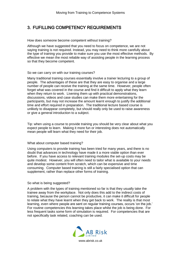## 3. FUFILLING COMPETENCY REQUIREMENTS

How does someone become competent without training?

Although we have suggested that you need to focus on competence, we are not saying training is not required. Instead, you may need to think more carefully about the type of training you provide to make sure you use the most effective methods. By effective we mean the most reliable way of assisting people in the learning process so that they become competent.

#### So we can carry on with our training courses?

Many traditional training courses essentially involve a trainer lecturing to a group of people. The advantages of these are that they are easy to organise and a large number of people can receive the training at the same time. However, people often forget what was covered in the course and find it difficult to apply what they learn when they return to work. Livening them up with practical demonstrations, discussions, videos and case studies can make them more entertaining for the participants, but may not increase the amount learnt enough to justify the additional time and effort required in preparation. The traditional lecture based course is unlikely to disappear completely, but should really only be used to raise awareness or give a general introduction to a subject.

Tip: when using a course to provide training you should be very clear about what you expect people to learn. Making it more fun or interesting does not automatically mean people will learn what they need for their job.

#### What about computer based training?

Using computers to provide training has been tried for many years, and there is no doubt that advances in technology have made it a more viable option than ever before. If you have access to relevant training modules the set-up costs may be quite modest. However, you will often need to tailor what is available to your needs and develop some content from scratch, which can be expensive and time consuming. Computer based training is still a fairly specialised option that can supplement, rather than replace other forms of training.

## So what is being suggested?

A problem with the types of training mentioned so far is that they usually take the trainee away from the workplace. Not only does this add to the indirect costs of training, because the person cannot be productive, it can make it difficult for people to relate what they have learnt when they get back to work. The reality is that most learning, even where people are sent on regular training courses, occurs 'on the job.' For routine competencies this learning takes place whilst the job is being done. For less frequent tasks some form of simulation is required. For competencies that are not specifically task related, coaching can be used.

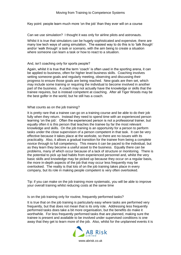Key point: people learn much more 'on the job' than they ever will on a course

Can we use simulation? I thought it was only for airline pilots and astronauts.

Whilst it is true that simulators can be hugely sophisticated and expensive, there are many low tech ways of using simulation. The easiest way to do this is to 'talk though' and/or 'walk through' a task or scenario, with the aim being to create a situation where someone can learn a task or how to react to a situation.

#### And, isn't coaching only for sports people?

Again, whilst it is true that the term 'coach' is often used in the sporting arena, it can be applied to business, often for higher level business skills. Coaching involves setting someone goals and regularly meeting, observing and discussing their progress to ensure those goals are being reached. New goals are then set, which may include some training or requiring the individual to become involved in another part of the business. A coach may not actually have the knowledge or skills that the trainee requires, but is instead competent at coaching. After all Tiger Woods may be the best golfer in the world, but he still has a coach.

#### What counts as on the job training?

It is pretty rare that a trainee can go on a training course and be able to do their job fully when they return. Instead they need to spend time with an experienced person learning 'on the job'. Often the experienced person is not a professional trainer, but equally often it is this person that teaches the trainee by far the most relevant knowledge and skills. On the job training is an opportunity for a person to perform tasks under the close supervision of a person competent in that task. It can be very effective because it takes place at the worksite, so there are no issues with its practicality. Also, it allows a gradual transition for the trainee from being a complete novice through to full competency. This means it can be paced to the individual, but as they learn they become a useful asset to the business. Equally there can be problems, many of which occur because of a lack of structure or monitoring. There is the potential to pick up bad habits from experienced personnel and, whilst the very basic skills and knowledge may be picked up because they occur on a regular basis, the more in-depth aspects of the job that may occur less frequently may be overlooked. The reality is that lots of on the job training takes place in every company, but its role in making people competent is very often overlooked.

Tip: if you can make on the job training more systematic, you will be able to improve your overall training whilst reducing costs at the same time

Is on the job training only for routine, frequently performed tasks?

It is true that on the job training is particularly easy where tasks are performed very frequently, but that does not mean that is its only role. Addressing less frequently performed tasks does take a bit more organisation, but the benefits do make it worthwhile. For less frequently performed tasks that are planned, making sure the trainee is present and available to be involved under supervised conditions is one away that they get to learn more of the job. Also, whilst for the unplanned events it is

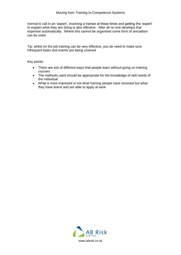normal to call in an 'expert', involving a trainee at these times and getting the 'expert' to explain what they are doing is also effective. After all no one develops that expertise automatically. Where this cannot be organised some form of simulation can be used.

Tip: whilst on the job training can be very effective, you do need to make sure infrequent tasks and events are being covered

Key points:

- There are lots of different ways that people learn without going on training courses
- The methods used should be appropriate for the knowledge of skill needs of the individual
- What is most important is not what training people have received but what they have learnt and are able to apply at work

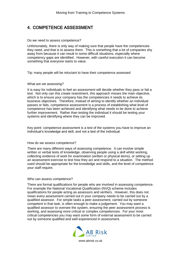## 4. COMPETENCE ASSESSMENT

#### Do we need to assess competence?

Unfortunately, there is only way of making sure that people have the competencies they need, and that is to assess them. This is something that a lot of companies shy away from because it can result in some difficult situations, especially where competency gaps are identified. However, with careful execution it can become something that everyone starts to value.

Tip: many people will be reluctant to have their competence assessed

## What are we assessing?

It is easy for individuals to feel an assessment will decide whether they pass or fail a test. Not only can this create resentment, this approach misses the main objective, which is to ensure your company has the competencies it needs to achieve its business objectives. Therefore, instead of aiming to identify whether an individual passes or fails, competence assessment is a process of establishing what level of competence has been achieved and identifying what needs to be done to achieve further improvement. Rather than testing the individual it should be testing your systems and identifying where they can be improved.

Key point: competence assessment is a test of the systems you have to improve an individual's knowledge and skill, and not a test of the individual

## How do we assess competence?

There are many different ways of assessing competence. It can involve simple written or verbal tests of knowledge, observing people using a skill whilst working, collecting evidence of work for examination (written or physical items), or setting up an assessment exercise to test how they act and respond to a situation. The method used should be appropriate for the knowledge and skills, and the level of competence your staff require.

#### Who can assess competence?

There are formal qualifications for people who are involved in assessing competence. For example the National Vocational Qualification (NVQ) scheme includes qualifications for people acting as assessors and verifiers. However, this does not mean every assessment carried out in your company needs to be carried out by a qualified assessor. For simple tasks a peer assessment, carried out by someone competent in that task, is often enough to make a judgement. You may want a qualified assessor to oversee the system, ensuring the peer assessment process is working, and assessing more critical or complex competencies. For your most critical competencies you may want some form of external assessment to be carried out by someone qualified and well experienced in assessment.

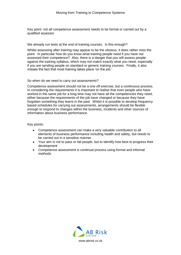Key point: not all competence assessment needs to be formal or carried out by a qualified assessor

We already run tests at the end of training courses. Is this enough?

Whilst assessing after training may appear to be the obvious, it does rather miss the point. In particular how do you know what training people need if you have not assessed their competence? Also, there is a danger that you will assess people against the training syllabus, which may not match exactly what you need, especially if you are sending people on standard or generic training courses. Finally, it also misses the fact that most training takes place 'on the job.'

## So when do we need to carry out assessments?

Competence assessment should not be a one off exercise, but a continuous process. In considering the requirements it is important to realise that even people who have worked in the same job for a long time may not have all the competencies they need, either because the requirements of the job have changed or because they have forgotten something they learnt in the past. Whilst it is possible to develop frequency based schedules for carrying out assessments, arrangements should be flexible enough to respond to changes within the business, incidents and other sources of information about business performance.

Key points:

- $\bullet$ Competence assessment can make a very valuable contribution to all elements of business performance including health and safety, but needs to be carried out in a sensitive manner
- Your aim is not to pass or fail people, but to identify how best to progress their development
- Competence assessment is continual process using formal and informal methods

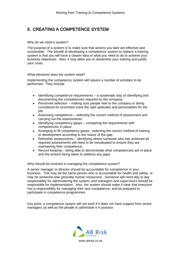## 5. CREATING A COMPETENCE SYSTEM

#### Why do we need a system?

The purpose of a system is to make sure that actions you take are effective and sustainable. The benefit of developing a competence system to replace a training system is that you will have a clearer idea of what you need to do to achieve your business objectives. Also, it may allow you to streamline your training and justify your costs.

What elements does the system need?

Implementing the competency system will require a number of activities to be performed. They include:

- Identifying competence requirements a systematic way of identifying and  $\bullet$ documenting the competencies required by the company;
- Personnel selection making sure people new to the company or being  $\bullet$ considered for promotion have the right aptitudes and personalities for the job;
- Assessing competence selecting the correct method of assessment and carrying out the assessments;
- Identifying competency gasps comparing the requirements with competencies in place;
- Arranging to fill competency gasps –selecting the correct method of training  $\bullet$ or development according to the nature of the gap;
- Refresher assessments identifying where someone who has achieved all  $\bullet$ required assessments will need to be reevaluated to ensure they are maintaining their competence;
- Record keeping being able to demonstrate what competencies are in place  $\bullet$ and the actions being taken to address any gaps.

Who should be involved in managing the competence system?

A senior manager or director should be accountable for competence in your business. This may be the same person who is accountable for health and safety, or may be someone else (possibly human resources). Someone will need day to day responsibility for administering the system, and managers and supervisors should be responsible for implementation. Also, the system should make it clear that everyone has a responsibility for managing their own competence, and be prepared to participate in competence programmes.

Key point: a competence system will not work if it does not have support from senior managers as well as the people to administer it in practice

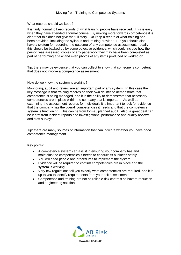What records should we keep?

It is fairly normal to keep records of what training people have received. This is easy when they have attended a formal course. By moving more towards competence it is clear that this does not give the full story. Do keep a record of what training has been provided, including the syllabus and training provider. But you should also have a system for recording the outcome of any competence assessment. Ideally this should be backed up by some objective evidence, which could include how the person was assessed, copies of any paperwork they may have been completed as part of performing a task and even photos of any items produced or worked on.

Tip: there may be evidence that you can collect to show that someone is competent that does not involve a competence assessment

#### How do we know the system is working?

Monitoring, audit and review are an important part of any system. In this case the key message is that training records on their own do little to demonstrate that competence is being managed, and it is the ability to demonstrate that necessary competencies are in place within the company that is important. As well as examining the assessment records for individuals it is important to look for evidence that the company has the overall competencies it needs and that the competence system is functioning. This can be from formal, planned audit. Also, a great deal can be learnt from incident reports and investigations, performance and quality reviews; and staff surveys.

Tip: there are many sources of information that can indicate whether you have good competence management

Key points:

- A competence system can assist in ensuring your company has and  $\bullet$ maintains the competencies it needs to conduct its business safely
- You will need people and procedures to implement the system
- Evidence will be required to confirm competencies are in place and the  $\bullet$ system is working
- Very few regulations tell you exactly what competencies are required, and it is  $\bullet$ up to you to identify requirements from your risk assessments
- Competence and training are not as reliable risk controls as hazard reduction  $\bullet$ and engineering solutions